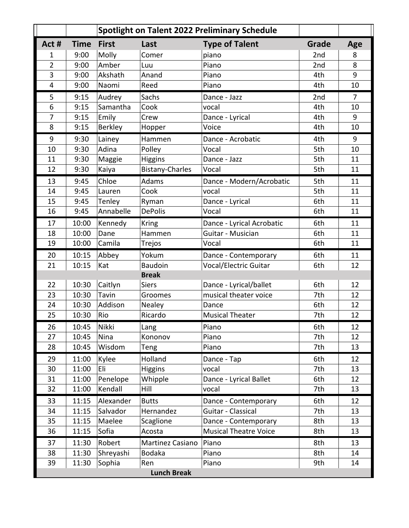|                         | Spotlight on Talent 2022 Preliminary Schedule |                |                        |                              |                 |                |  |  |  |
|-------------------------|-----------------------------------------------|----------------|------------------------|------------------------------|-----------------|----------------|--|--|--|
| Act #                   | <b>Time</b>                                   | <b>First</b>   | Last                   | <b>Type of Talent</b>        | Grade           | Age            |  |  |  |
| 1                       | 9:00                                          | Molly          | Comer                  | piano                        | 2 <sub>nd</sub> | 8              |  |  |  |
| $\overline{2}$          | 9:00                                          | Amber          | Luu                    | Piano                        | 2nd             | 8              |  |  |  |
| 3                       | 9:00                                          | Akshath        | Anand                  | Piano                        | 4th             | 9              |  |  |  |
| $\overline{\mathbf{4}}$ | 9:00                                          | Naomi          | Reed                   | Piano                        | 4th             | 10             |  |  |  |
| 5                       | 9:15                                          | Audrey         | Sachs                  | Dance - Jazz                 | 2nd             | $\overline{7}$ |  |  |  |
| 6                       | 9:15                                          | Samantha       | Cook                   | vocal                        | 4th             | 10             |  |  |  |
| $\overline{7}$          | 9:15                                          | Emily          | Crew                   | Dance - Lyrical              | 4th             | 9              |  |  |  |
| 8                       | 9:15                                          | <b>Berkley</b> | Hopper                 | Voice                        | 4th             | 10             |  |  |  |
| 9                       | 9:30                                          | Lainey         | Hammen                 | Dance - Acrobatic            | 4th             | 9              |  |  |  |
| 10                      | 9:30                                          | Adina          | Polley                 | Vocal                        | 5th             | 10             |  |  |  |
| 11                      | 9:30                                          | Maggie         | <b>Higgins</b>         | Dance - Jazz                 | 5th             | 11             |  |  |  |
| 12                      | 9:30                                          | Kaiya          | <b>Bistany-Charles</b> | Vocal                        | 5th             | 11             |  |  |  |
| 13                      | 9:45                                          | Chloe          | Adams                  | Dance - Modern/Acrobatic     | 5th             | 11             |  |  |  |
| 14                      | 9:45                                          | Lauren         | Cook                   | vocal                        | 5th             | 11             |  |  |  |
| 15                      | 9:45                                          | Tenley         | Ryman                  | Dance - Lyrical              | 6th             | 11             |  |  |  |
| 16                      | 9:45                                          | Annabelle      | <b>DePolis</b>         | Vocal                        | 6th             | 11             |  |  |  |
| 17                      | 10:00                                         | Kennedy        | <b>Kring</b>           | Dance - Lyrical Acrobatic    | 6th             | 11             |  |  |  |
| 18                      | 10:00                                         | Dane           | Hammen                 | Guitar - Musician            | 6th             | 11             |  |  |  |
| 19                      | 10:00                                         | Camila         | Trejos                 | Vocal                        | 6th             | 11             |  |  |  |
| 20                      | 10:15                                         | Abbey          | Yokum                  | Dance - Contemporary         | 6th             | 11             |  |  |  |
| 21                      | 10:15                                         | Kat            | <b>Baudoin</b>         | <b>Vocal/Electric Guitar</b> | 6th             | 12             |  |  |  |
|                         |                                               |                | <b>Break</b>           |                              |                 |                |  |  |  |
| 22                      | 10:30                                         | Caitlyn        | <b>Siers</b>           | Dance - Lyrical/ballet       | 6th             | 12             |  |  |  |
| 23                      | 10:30                                         | Tavin          | Groomes                | musical theater voice        | 7th             | 12             |  |  |  |
| 24                      | 10:30                                         | Addison        | Nealey                 | Dance                        | 6th             | 12             |  |  |  |
| 25                      | 10:30                                         | Rio            | Ricardo                | <b>Musical Theater</b>       | 7th             | 12             |  |  |  |
| 26                      | 10:45                                         | Nikki          | Lang                   | Piano                        | 6th             | 12             |  |  |  |
| 27                      | 10:45                                         | Nina           | Kononov                | Piano                        | 7th             | 12             |  |  |  |
| 28                      | 10:45                                         | Wisdom         | Teng                   | Piano                        | 7th             | 13             |  |  |  |
| 29                      | 11:00                                         | Kylee          | Holland                | Dance - Tap                  | 6th             | 12             |  |  |  |
| 30                      | 11:00                                         | Eli            | <b>Higgins</b>         | vocal                        | 7th             | 13             |  |  |  |
| 31                      | 11:00                                         | Penelope       | Whipple                | Dance - Lyrical Ballet       | 6th             | 12             |  |  |  |
| 32                      | 11:00                                         | Kendall        | Hill                   | vocal                        | 7th             | 13             |  |  |  |
| 33                      | 11:15                                         | Alexander      | <b>Butts</b>           | Dance - Contemporary         | 6th             | 12             |  |  |  |
| 34                      | 11:15                                         | Salvador       | Hernandez              | Guitar - Classical           | 7th             | 13             |  |  |  |
| 35                      | 11:15                                         | Maelee         | Scaglione              | Dance - Contemporary         | 8th             | 13             |  |  |  |
| 36                      | 11:15                                         | Sofia          | Acosta                 | <b>Musical Theatre Voice</b> | 8th             | 13             |  |  |  |
| 37                      | 11:30                                         | Robert         | Martinez Casiano       | Piano                        | 8th             | 13             |  |  |  |
| 38                      | 11:30                                         | Shreyashi      | Bodaka                 | Piano                        | 8th             | 14             |  |  |  |
| 39                      | 11:30                                         | Sophia         | Ren                    | Piano                        | 9th             | 14             |  |  |  |
| <b>Lunch Break</b>      |                                               |                |                        |                              |                 |                |  |  |  |